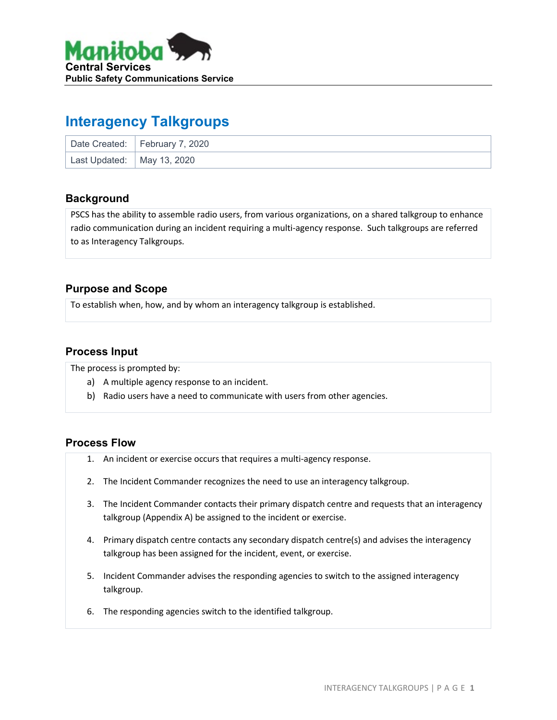

# **Interagency Talkgroups**

|                              | Date Created:   February 7, 2020 |
|------------------------------|----------------------------------|
| Last Updated:   May 13, 2020 |                                  |

### **Background**

PSCS has the ability to assemble radio users, from various organizations, on a shared talkgroup to enhance radio communication during an incident requiring a multi-agency response. Such talkgroups are referred to as Interagency Talkgroups.

### **Purpose and Scope**

To establish when, how, and by whom an interagency talkgroup is established.

### **Process Input**

The process is prompted by:

- a) A multiple agency response to an incident.
- b) Radio users have a need to communicate with users from other agencies.

#### **Process Flow**

- 1. An incident or exercise occurs that requires a multi-agency response.
- 2. The Incident Commander recognizes the need to use an interagency talkgroup.
- 3. The Incident Commander contacts their primary dispatch centre and requests that an interagency talkgroup (Appendix A) be assigned to the incident or exercise.
- 4. Primary dispatch centre contacts any secondary dispatch centre(s) and advises the interagency talkgroup has been assigned for the incident, event, or exercise.
- 5. Incident Commander advises the responding agencies to switch to the assigned interagency talkgroup.
- 6. The responding agencies switch to the identified talkgroup.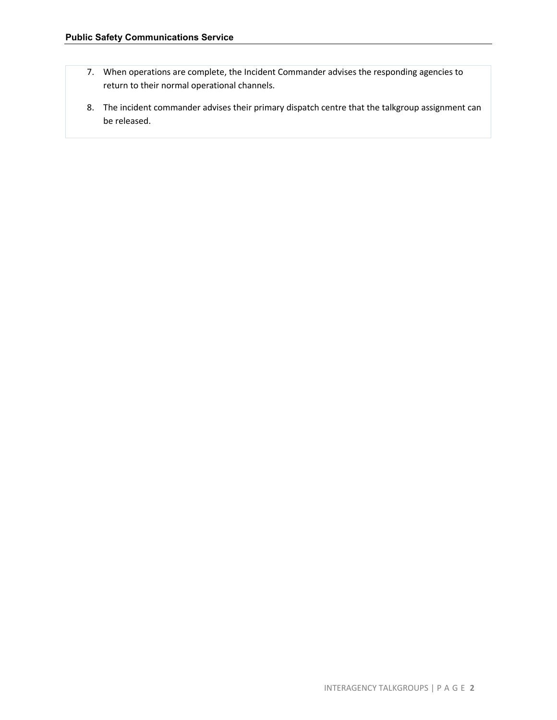- 7. When operations are complete, the Incident Commander advises the responding agencies to return to their normal operational channels.
- 8. The incident commander advises their primary dispatch centre that the talkgroup assignment can be released.